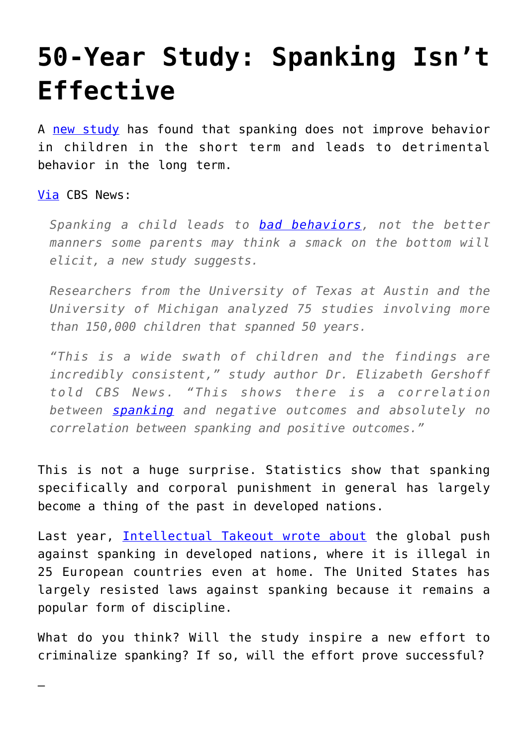## **[50-Year Study: Spanking Isn't](https://intellectualtakeout.org/2016/04/50-year-study-spanking-isnt-effective/) [Effective](https://intellectualtakeout.org/2016/04/50-year-study-spanking-isnt-effective/)**

A [new study](http://psycnet.apa.org/?&fa=main.doiLanding&doi=10.1037/fam0000191) has found that spanking does not improve behavior in children in the short term and leads to detrimental behavior in the long term.

[Via](http://www.cbsnews.com/news/5-decade-study-reveals-fallout-from-spanking-kids/) CBS News:

—

*Spanking a child leads to [bad behaviors](http://www.cbsnews.com/news/do-violent-video-games-lead-to-criminal-behavior/), not the better manners some parents may think a smack on the bottom will elicit, a new study suggests.*

*Researchers from the University of Texas at Austin and the University of Michigan analyzed 75 studies involving more than 150,000 children that spanned 50 years.*

*"This is a wide swath of children and the findings are incredibly consistent," study author Dr. Elizabeth Gershoff told CBS News. "This shows there is a correlation between [spanking](http://www.cbsnews.com/news/spanking-triggers-vicious-cycle-study-finds/) and negative outcomes and absolutely no correlation between spanking and positive outcomes."*

This is not a huge surprise. Statistics show that spanking specifically and corporal punishment in general has largely become a thing of the past in developed nations.

Last year, [Intellectual Takeout wrote about](https://www.intellectualtakeout.org/blog/sometimes-spanking-still-best-option) the global push against spanking in developed nations, where it is illegal in 25 European countries even at home. The United States has largely resisted laws against spanking because it remains a popular form of discipline.

What do you think? Will the study inspire a new effort to criminalize spanking? If so, will the effort prove successful?